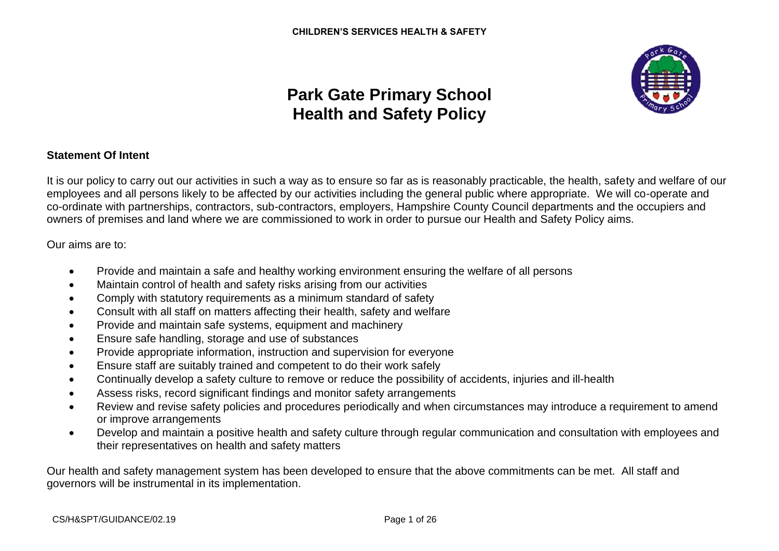

# **Park Gate Primary School Health and Safety Policy**

## **Statement Of Intent**

It is our policy to carry out our activities in such a way as to ensure so far as is reasonably practicable, the health, safety and welfare of our employees and all persons likely to be affected by our activities including the general public where appropriate. We will co-operate and co-ordinate with partnerships, contractors, sub-contractors, employers, Hampshire County Council departments and the occupiers and owners of premises and land where we are commissioned to work in order to pursue our Health and Safety Policy aims.

Our aims are to:

- Provide and maintain a safe and healthy working environment ensuring the welfare of all persons
- Maintain control of health and safety risks arising from our activities
- Comply with statutory requirements as a minimum standard of safety
- Consult with all staff on matters affecting their health, safety and welfare
- Provide and maintain safe systems, equipment and machinery
- Ensure safe handling, storage and use of substances
- Provide appropriate information, instruction and supervision for everyone
- Ensure staff are suitably trained and competent to do their work safely
- Continually develop a safety culture to remove or reduce the possibility of accidents, injuries and ill-health
- Assess risks, record significant findings and monitor safety arrangements
- Review and revise safety policies and procedures periodically and when circumstances may introduce a requirement to amend or improve arrangements
- Develop and maintain a positive health and safety culture through regular communication and consultation with employees and their representatives on health and safety matters

Our health and safety management system has been developed to ensure that the above commitments can be met. All staff and governors will be instrumental in its implementation.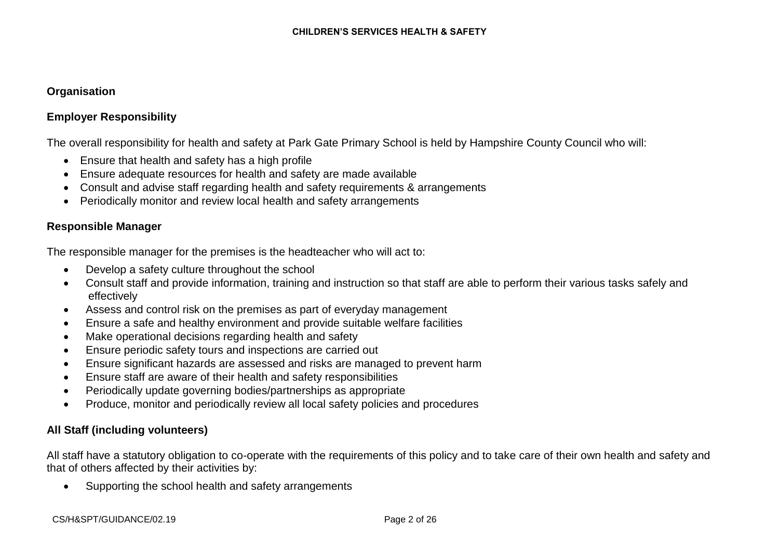## **Organisation**

# **Employer Responsibility**

The overall responsibility for health and safety at Park Gate Primary School is held by Hampshire County Council who will:

- Ensure that health and safety has a high profile
- Ensure adequate resources for health and safety are made available
- Consult and advise staff regarding health and safety requirements & arrangements
- Periodically monitor and review local health and safety arrangements

## **Responsible Manager**

The responsible manager for the premises is the headteacher who will act to:

- Develop a safety culture throughout the school
- Consult staff and provide information, training and instruction so that staff are able to perform their various tasks safely and effectively
- Assess and control risk on the premises as part of everyday management
- Ensure a safe and healthy environment and provide suitable welfare facilities
- Make operational decisions regarding health and safety
- Ensure periodic safety tours and inspections are carried out
- Ensure significant hazards are assessed and risks are managed to prevent harm
- Ensure staff are aware of their health and safety responsibilities
- Periodically update governing bodies/partnerships as appropriate
- Produce, monitor and periodically review all local safety policies and procedures

# **All Staff (including volunteers)**

All staff have a statutory obligation to co-operate with the requirements of this policy and to take care of their own health and safety and that of others affected by their activities by:

• Supporting the school health and safety arrangements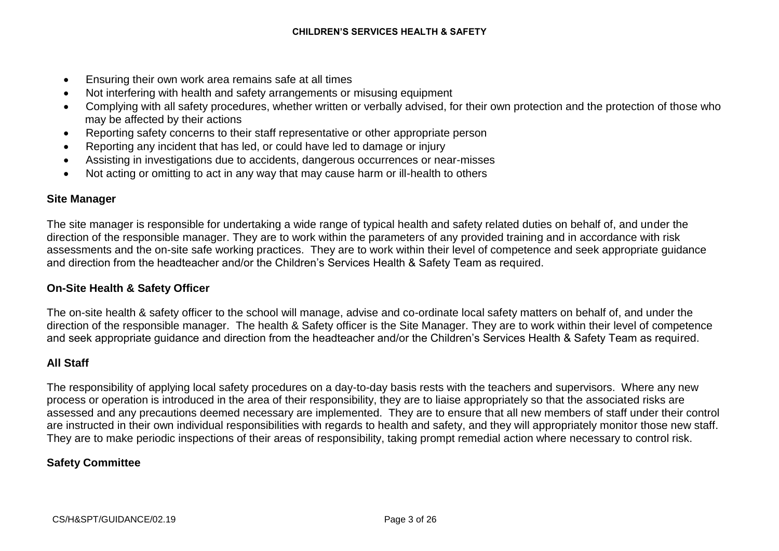- Ensuring their own work area remains safe at all times
- Not interfering with health and safety arrangements or misusing equipment
- Complying with all safety procedures, whether written or verbally advised, for their own protection and the protection of those who may be affected by their actions
- Reporting safety concerns to their staff representative or other appropriate person
- Reporting any incident that has led, or could have led to damage or injury
- Assisting in investigations due to accidents, dangerous occurrences or near-misses
- Not acting or omitting to act in any way that may cause harm or ill-health to others

## **Site Manager**

The site manager is responsible for undertaking a wide range of typical health and safety related duties on behalf of, and under the direction of the responsible manager. They are to work within the parameters of any provided training and in accordance with risk assessments and the on-site safe working practices. They are to work within their level of competence and seek appropriate guidance and direction from the headteacher and/or the Children's Services Health & Safety Team as required.

## **On-Site Health & Safety Officer**

The on-site health & safety officer to the school will manage, advise and co-ordinate local safety matters on behalf of, and under the direction of the responsible manager. The health & Safety officer is the Site Manager. They are to work within their level of competence and seek appropriate guidance and direction from the headteacher and/or the Children's Services Health & Safety Team as required.

## **All Staff**

The responsibility of applying local safety procedures on a day-to-day basis rests with the teachers and supervisors. Where any new process or operation is introduced in the area of their responsibility, they are to liaise appropriately so that the associated risks are assessed and any precautions deemed necessary are implemented. They are to ensure that all new members of staff under their control are instructed in their own individual responsibilities with regards to health and safety, and they will appropriately monitor those new staff. They are to make periodic inspections of their areas of responsibility, taking prompt remedial action where necessary to control risk.

## **Safety Committee**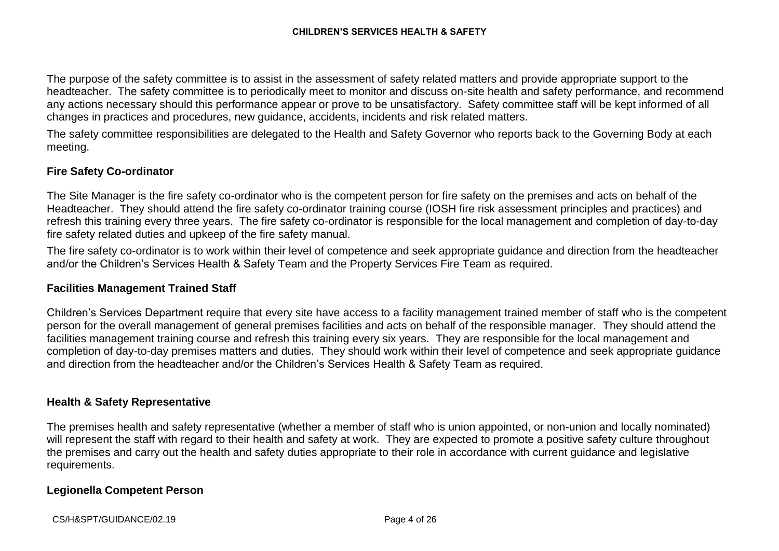The purpose of the safety committee is to assist in the assessment of safety related matters and provide appropriate support to the headteacher. The safety committee is to periodically meet to monitor and discuss on-site health and safety performance, and recommend any actions necessary should this performance appear or prove to be unsatisfactory. Safety committee staff will be kept informed of all changes in practices and procedures, new guidance, accidents, incidents and risk related matters.

The safety committee responsibilities are delegated to the Health and Safety Governor who reports back to the Governing Body at each meeting.

# **Fire Safety Co-ordinator**

The Site Manager is the fire safety co-ordinator who is the competent person for fire safety on the premises and acts on behalf of the Headteacher. They should attend the fire safety co-ordinator training course (IOSH fire risk assessment principles and practices) and refresh this training every three years. The fire safety co-ordinator is responsible for the local management and completion of day-to-day fire safety related duties and upkeep of the fire safety manual.

The fire safety co-ordinator is to work within their level of competence and seek appropriate guidance and direction from the headteacher and/or the Children's Services Health & Safety Team and the Property Services Fire Team as required.

## **Facilities Management Trained Staff**

Children's Services Department require that every site have access to a facility management trained member of staff who is the competent person for the overall management of general premises facilities and acts on behalf of the responsible manager. They should attend the facilities management training course and refresh this training every six years. They are responsible for the local management and completion of day-to-day premises matters and duties. They should work within their level of competence and seek appropriate guidance and direction from the headteacher and/or the Children's Services Health & Safety Team as required.

## **Health & Safety Representative**

The premises health and safety representative (whether a member of staff who is union appointed, or non-union and locally nominated) will represent the staff with regard to their health and safety at work. They are expected to promote a positive safety culture throughout the premises and carry out the health and safety duties appropriate to their role in accordance with current guidance and legislative requirements.

## **Legionella Competent Person**

CS/H&SPT/GUIDANCE/02.19 Page 4 of 26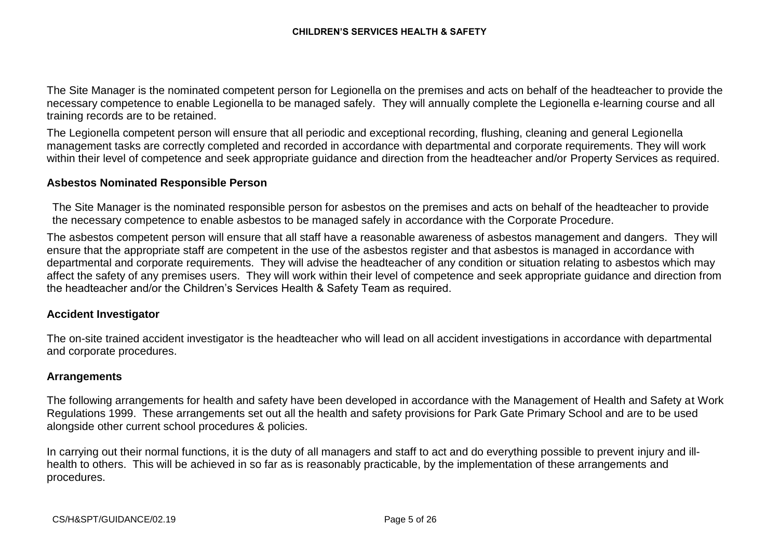The Site Manager is the nominated competent person for Legionella on the premises and acts on behalf of the headteacher to provide the necessary competence to enable Legionella to be managed safely. They will annually complete the Legionella e-learning course and all training records are to be retained.

The Legionella competent person will ensure that all periodic and exceptional recording, flushing, cleaning and general Legionella management tasks are correctly completed and recorded in accordance with departmental and corporate requirements. They will work within their level of competence and seek appropriate guidance and direction from the headteacher and/or Property Services as required.

## **Asbestos Nominated Responsible Person**

The Site Manager is the nominated responsible person for asbestos on the premises and acts on behalf of the headteacher to provide the necessary competence to enable asbestos to be managed safely in accordance with the Corporate Procedure.

The asbestos competent person will ensure that all staff have a reasonable awareness of asbestos management and dangers. They will ensure that the appropriate staff are competent in the use of the asbestos register and that asbestos is managed in accordance with departmental and corporate requirements. They will advise the headteacher of any condition or situation relating to asbestos which may affect the safety of any premises users. They will work within their level of competence and seek appropriate guidance and direction from the headteacher and/or the Children's Services Health & Safety Team as required.

## **Accident Investigator**

The on-site trained accident investigator is the headteacher who will lead on all accident investigations in accordance with departmental and corporate procedures.

## **Arrangements**

The following arrangements for health and safety have been developed in accordance with the Management of Health and Safety at Work Regulations 1999. These arrangements set out all the health and safety provisions for Park Gate Primary School and are to be used alongside other current school procedures & policies.

In carrying out their normal functions, it is the duty of all managers and staff to act and do everything possible to prevent injury and illhealth to others. This will be achieved in so far as is reasonably practicable, by the implementation of these arrangements and procedures.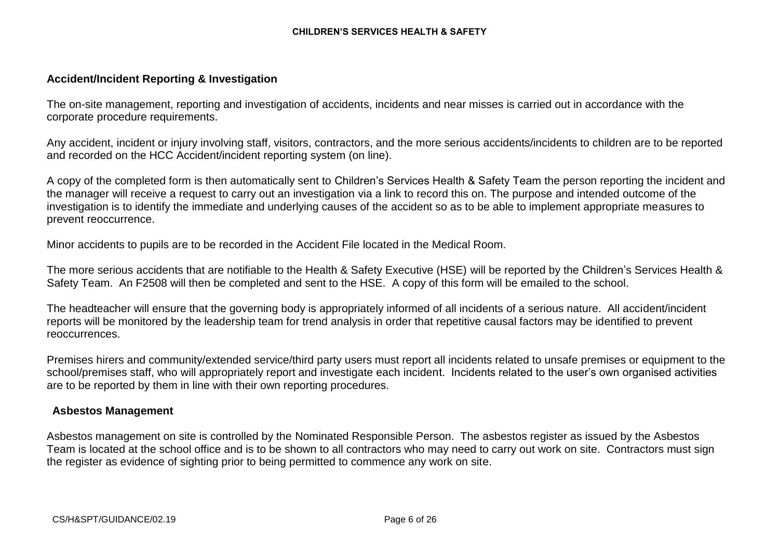## **Accident/Incident Reporting & Investigation**

The on-site management, reporting and investigation of accidents, incidents and near misses is carried out in accordance with the corporate procedure requirements.

Any accident, incident or injury involving staff, visitors, contractors, and the more serious accidents/incidents to children are to be reported and recorded on the HCC Accident/incident reporting system (on line).

A copy of the completed form is then automatically sent to Children's Services Health & Safety Team the person reporting the incident and the manager will receive a request to carry out an investigation via a link to record this on. The purpose and intended outcome of the investigation is to identify the immediate and underlying causes of the accident so as to be able to implement appropriate measures to prevent reoccurrence.

Minor accidents to pupils are to be recorded in the Accident File located in the Medical Room.

The more serious accidents that are notifiable to the Health & Safety Executive (HSE) will be reported by the Children's Services Health & Safety Team. An F2508 will then be completed and sent to the HSE. A copy of this form will be emailed to the school.

The headteacher will ensure that the governing body is appropriately informed of all incidents of a serious nature. All accident/incident reports will be monitored by the leadership team for trend analysis in order that repetitive causal factors may be identified to prevent reoccurrences.

Premises hirers and community/extended service/third party users must report all incidents related to unsafe premises or equipment to the school/premises staff, who will appropriately report and investigate each incident. Incidents related to the user's own organised activities are to be reported by them in line with their own reporting procedures.

## **Asbestos Management**

Asbestos management on site is controlled by the Nominated Responsible Person. The asbestos register as issued by the Asbestos Team is located at the school office and is to be shown to all contractors who may need to carry out work on site. Contractors must sign the register as evidence of sighting prior to being permitted to commence any work on site.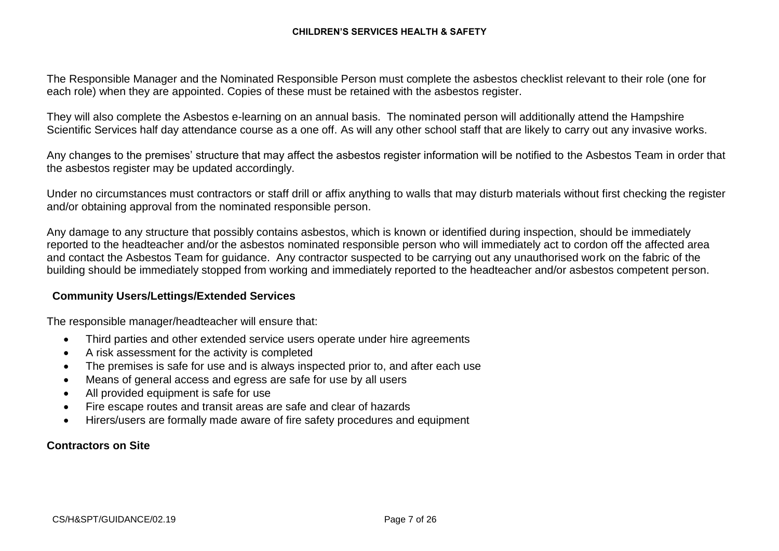The Responsible Manager and the Nominated Responsible Person must complete the asbestos checklist relevant to their role (one for each role) when they are appointed. Copies of these must be retained with the asbestos register.

They will also complete the Asbestos e-learning on an annual basis. The nominated person will additionally attend the Hampshire Scientific Services half day attendance course as a one off. As will any other school staff that are likely to carry out any invasive works.

Any changes to the premises' structure that may affect the asbestos register information will be notified to the Asbestos Team in order that the asbestos register may be updated accordingly.

Under no circumstances must contractors or staff drill or affix anything to walls that may disturb materials without first checking the register and/or obtaining approval from the nominated responsible person.

Any damage to any structure that possibly contains asbestos, which is known or identified during inspection, should be immediately reported to the headteacher and/or the asbestos nominated responsible person who will immediately act to cordon off the affected area and contact the Asbestos Team for guidance. Any contractor suspected to be carrying out any unauthorised work on the fabric of the building should be immediately stopped from working and immediately reported to the headteacher and/or asbestos competent person.

## **Community Users/Lettings/Extended Services**

The responsible manager/headteacher will ensure that:

- Third parties and other extended service users operate under hire agreements
- A risk assessment for the activity is completed
- The premises is safe for use and is always inspected prior to, and after each use
- Means of general access and egress are safe for use by all users
- All provided equipment is safe for use
- Fire escape routes and transit areas are safe and clear of hazards
- Hirers/users are formally made aware of fire safety procedures and equipment

# **Contractors on Site**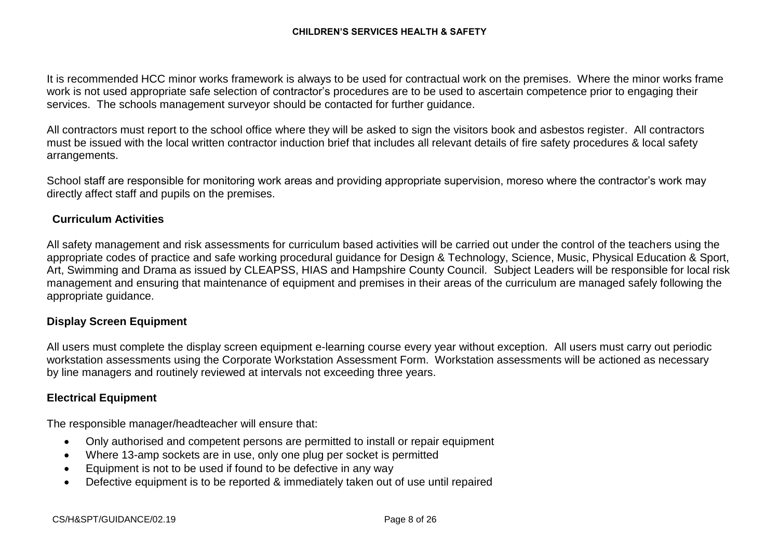It is recommended HCC minor works framework is always to be used for contractual work on the premises. Where the minor works frame work is not used appropriate safe selection of contractor's procedures are to be used to ascertain competence prior to engaging their services. The schools management surveyor should be contacted for further guidance.

All contractors must report to the school office where they will be asked to sign the visitors book and asbestos register. All contractors must be issued with the local written contractor induction brief that includes all relevant details of fire safety procedures & local safety arrangements.

School staff are responsible for monitoring work areas and providing appropriate supervision, moreso where the contractor's work may directly affect staff and pupils on the premises.

## **Curriculum Activities**

All safety management and risk assessments for curriculum based activities will be carried out under the control of the teachers using the appropriate codes of practice and safe working procedural guidance for Design & Technology, Science, Music, Physical Education & Sport, Art, Swimming and Drama as issued by CLEAPSS, HIAS and Hampshire County Council. Subject Leaders will be responsible for local risk management and ensuring that maintenance of equipment and premises in their areas of the curriculum are managed safely following the appropriate guidance.

## **Display Screen Equipment**

All users must complete the display screen equipment e-learning course every year without exception. All users must carry out periodic workstation assessments using the Corporate Workstation Assessment Form. Workstation assessments will be actioned as necessary by line managers and routinely reviewed at intervals not exceeding three years.

## **Electrical Equipment**

The responsible manager/headteacher will ensure that:

- Only authorised and competent persons are permitted to install or repair equipment
- Where 13-amp sockets are in use, only one plug per socket is permitted
- Equipment is not to be used if found to be defective in any way
- Defective equipment is to be reported & immediately taken out of use until repaired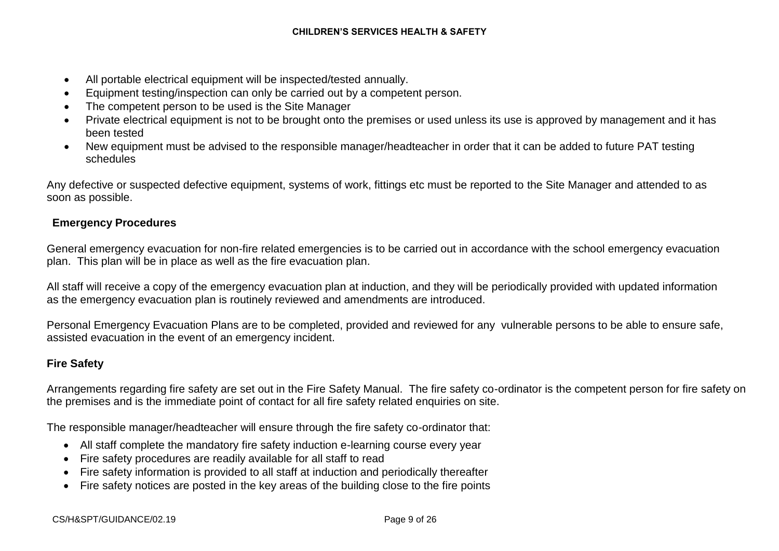- All portable electrical equipment will be inspected/tested annually.
- Equipment testing/inspection can only be carried out by a competent person.
- The competent person to be used is the Site Manager
- Private electrical equipment is not to be brought onto the premises or used unless its use is approved by management and it has been tested
- New equipment must be advised to the responsible manager/headteacher in order that it can be added to future PAT testing schedules

Any defective or suspected defective equipment, systems of work, fittings etc must be reported to the Site Manager and attended to as soon as possible.

# **Emergency Procedures**

General emergency evacuation for non-fire related emergencies is to be carried out in accordance with the school emergency evacuation plan. This plan will be in place as well as the fire evacuation plan.

All staff will receive a copy of the emergency evacuation plan at induction, and they will be periodically provided with updated information as the emergency evacuation plan is routinely reviewed and amendments are introduced.

Personal Emergency Evacuation Plans are to be completed, provided and reviewed for any vulnerable persons to be able to ensure safe, assisted evacuation in the event of an emergency incident.

# **Fire Safety**

Arrangements regarding fire safety are set out in the Fire Safety Manual. The fire safety co-ordinator is the competent person for fire safety on the premises and is the immediate point of contact for all fire safety related enquiries on site.

The responsible manager/headteacher will ensure through the fire safety co-ordinator that:

- All staff complete the mandatory fire safety induction e-learning course every year
- Fire safety procedures are readily available for all staff to read
- Fire safety information is provided to all staff at induction and periodically thereafter
- Fire safety notices are posted in the key areas of the building close to the fire points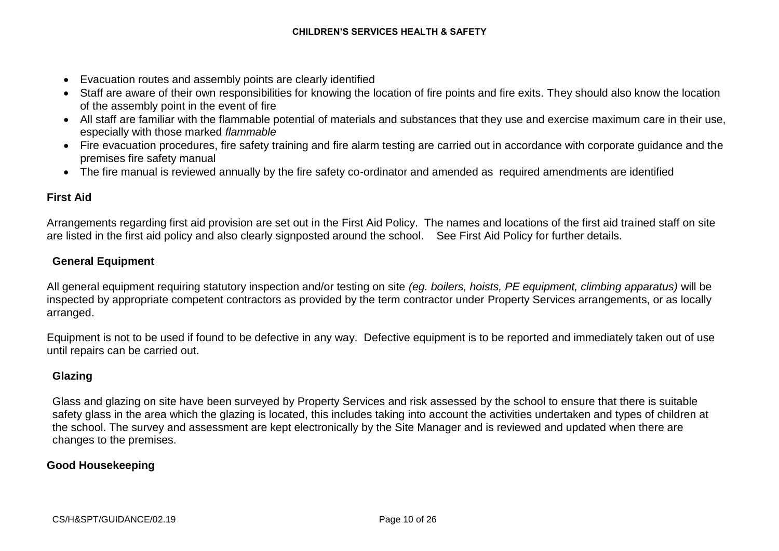- Evacuation routes and assembly points are clearly identified
- Staff are aware of their own responsibilities for knowing the location of fire points and fire exits. They should also know the location of the assembly point in the event of fire
- All staff are familiar with the flammable potential of materials and substances that they use and exercise maximum care in their use, especially with those marked *flammable*
- Fire evacuation procedures, fire safety training and fire alarm testing are carried out in accordance with corporate guidance and the premises fire safety manual
- The fire manual is reviewed annually by the fire safety co-ordinator and amended as required amendments are identified

# **First Aid**

Arrangements regarding first aid provision are set out in the First Aid Policy. The names and locations of the first aid trained staff on site are listed in the first aid policy and also clearly signposted around the school. See First Aid Policy for further details.

# **General Equipment**

All general equipment requiring statutory inspection and/or testing on site *(eg. boilers, hoists, PE equipment, climbing apparatus)* will be inspected by appropriate competent contractors as provided by the term contractor under Property Services arrangements, or as locally arranged.

Equipment is not to be used if found to be defective in any way. Defective equipment is to be reported and immediately taken out of use until repairs can be carried out.

# **Glazing**

Glass and glazing on site have been surveyed by Property Services and risk assessed by the school to ensure that there is suitable safety glass in the area which the glazing is located, this includes taking into account the activities undertaken and types of children at the school. The survey and assessment are kept electronically by the Site Manager and is reviewed and updated when there are changes to the premises.

# **Good Housekeeping**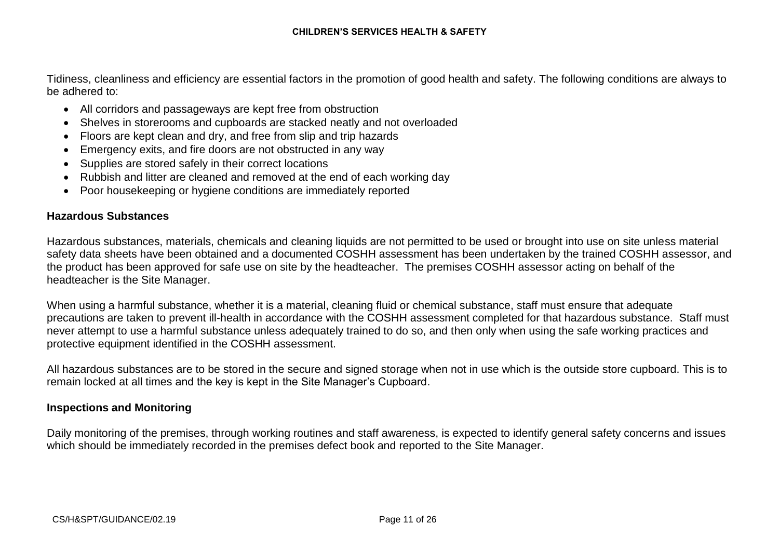Tidiness, cleanliness and efficiency are essential factors in the promotion of good health and safety. The following conditions are always to be adhered to:

- All corridors and passageways are kept free from obstruction
- Shelves in storerooms and cupboards are stacked neatly and not overloaded
- Floors are kept clean and dry, and free from slip and trip hazards
- Emergency exits, and fire doors are not obstructed in any way
- Supplies are stored safely in their correct locations
- Rubbish and litter are cleaned and removed at the end of each working day
- Poor housekeeping or hygiene conditions are immediately reported

## **Hazardous Substances**

Hazardous substances, materials, chemicals and cleaning liquids are not permitted to be used or brought into use on site unless material safety data sheets have been obtained and a documented COSHH assessment has been undertaken by the trained COSHH assessor, and the product has been approved for safe use on site by the headteacher. The premises COSHH assessor acting on behalf of the headteacher is the Site Manager.

When using a harmful substance, whether it is a material, cleaning fluid or chemical substance, staff must ensure that adequate precautions are taken to prevent ill-health in accordance with the COSHH assessment completed for that hazardous substance. Staff must never attempt to use a harmful substance unless adequately trained to do so, and then only when using the safe working practices and protective equipment identified in the COSHH assessment.

All hazardous substances are to be stored in the secure and signed storage when not in use which is the outside store cupboard. This is to remain locked at all times and the key is kept in the Site Manager's Cupboard.

## **Inspections and Monitoring**

Daily monitoring of the premises, through working routines and staff awareness, is expected to identify general safety concerns and issues which should be immediately recorded in the premises defect book and reported to the Site Manager.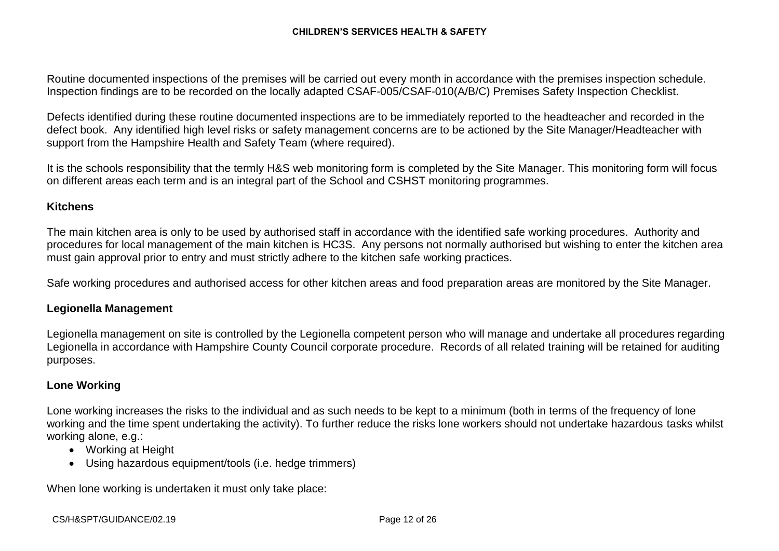Routine documented inspections of the premises will be carried out every month in accordance with the premises inspection schedule. Inspection findings are to be recorded on the locally adapted CSAF-005/CSAF-010(A/B/C) Premises Safety Inspection Checklist.

Defects identified during these routine documented inspections are to be immediately reported to the headteacher and recorded in the defect book. Any identified high level risks or safety management concerns are to be actioned by the Site Manager/Headteacher with support from the Hampshire Health and Safety Team (where required).

It is the schools responsibility that the termly H&S web monitoring form is completed by the Site Manager. This monitoring form will focus on different areas each term and is an integral part of the School and CSHST monitoring programmes.

## **Kitchens**

The main kitchen area is only to be used by authorised staff in accordance with the identified safe working procedures. Authority and procedures for local management of the main kitchen is HC3S. Any persons not normally authorised but wishing to enter the kitchen area must gain approval prior to entry and must strictly adhere to the kitchen safe working practices.

Safe working procedures and authorised access for other kitchen areas and food preparation areas are monitored by the Site Manager.

## **Legionella Management**

Legionella management on site is controlled by the Legionella competent person who will manage and undertake all procedures regarding Legionella in accordance with Hampshire County Council corporate procedure. Records of all related training will be retained for auditing purposes.

## **Lone Working**

Lone working increases the risks to the individual and as such needs to be kept to a minimum (both in terms of the frequency of lone working and the time spent undertaking the activity). To further reduce the risks lone workers should not undertake hazardous tasks whilst working alone, e.g.:

- Working at Height
- Using hazardous equipment/tools (i.e. hedge trimmers)

When lone working is undertaken it must only take place: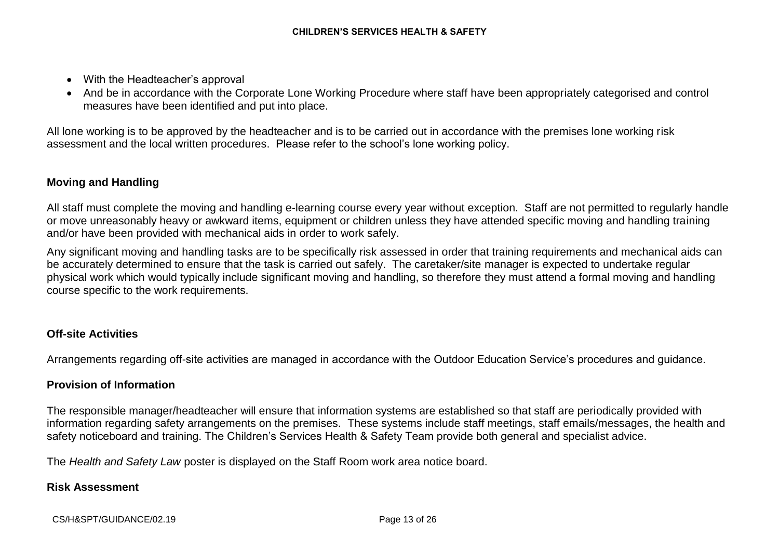- With the Headteacher's approval
- And be in accordance with the Corporate Lone Working Procedure where staff have been appropriately categorised and control measures have been identified and put into place.

All lone working is to be approved by the headteacher and is to be carried out in accordance with the premises lone working risk assessment and the local written procedures. Please refer to the school's lone working policy.

# **Moving and Handling**

All staff must complete the moving and handling e-learning course every year without exception. Staff are not permitted to regularly handle or move unreasonably heavy or awkward items, equipment or children unless they have attended specific moving and handling training and/or have been provided with mechanical aids in order to work safely.

Any significant moving and handling tasks are to be specifically risk assessed in order that training requirements and mechanical aids can be accurately determined to ensure that the task is carried out safely. The caretaker/site manager is expected to undertake regular physical work which would typically include significant moving and handling, so therefore they must attend a formal moving and handling course specific to the work requirements.

# **Off-site Activities**

Arrangements regarding off-site activities are managed in accordance with the Outdoor Education Service's procedures and guidance.

# **Provision of Information**

The responsible manager/headteacher will ensure that information systems are established so that staff are periodically provided with information regarding safety arrangements on the premises. These systems include staff meetings, staff emails/messages, the health and safety noticeboard and training. The Children's Services Health & Safety Team provide both general and specialist advice.

The *Health and Safety Law* poster is displayed on the Staff Room work area notice board.

## **Risk Assessment**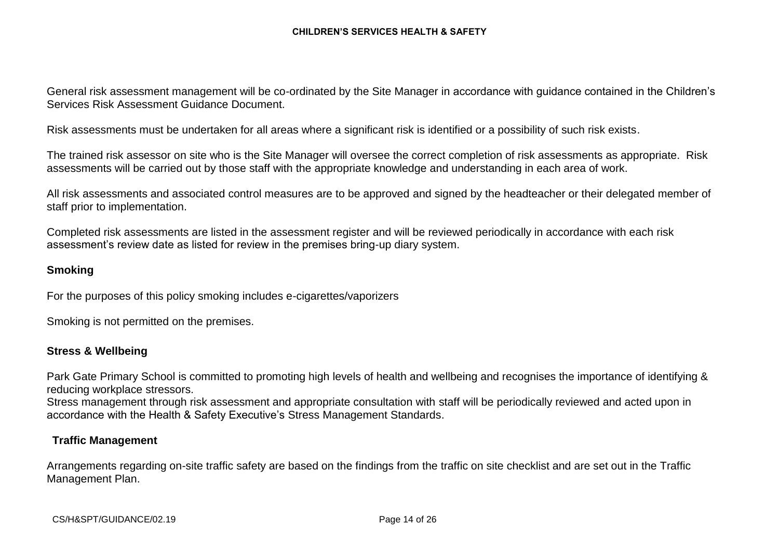General risk assessment management will be co-ordinated by the Site Manager in accordance with guidance contained in the Children's Services Risk Assessment Guidance Document.

Risk assessments must be undertaken for all areas where a significant risk is identified or a possibility of such risk exists.

The trained risk assessor on site who is the Site Manager will oversee the correct completion of risk assessments as appropriate. Risk assessments will be carried out by those staff with the appropriate knowledge and understanding in each area of work.

All risk assessments and associated control measures are to be approved and signed by the headteacher or their delegated member of staff prior to implementation.

Completed risk assessments are listed in the assessment register and will be reviewed periodically in accordance with each risk assessment's review date as listed for review in the premises bring-up diary system.

## **Smoking**

For the purposes of this policy smoking includes e-cigarettes/vaporizers

Smoking is not permitted on the premises.

## **Stress & Wellbeing**

Park Gate Primary School is committed to promoting high levels of health and wellbeing and recognises the importance of identifying & reducing workplace stressors.

Stress management through risk assessment and appropriate consultation with staff will be periodically reviewed and acted upon in accordance with the Health & Safety Executive's Stress Management Standards.

#### **Traffic Management**

Arrangements regarding on-site traffic safety are based on the findings from the traffic on site checklist and are set out in the Traffic Management Plan.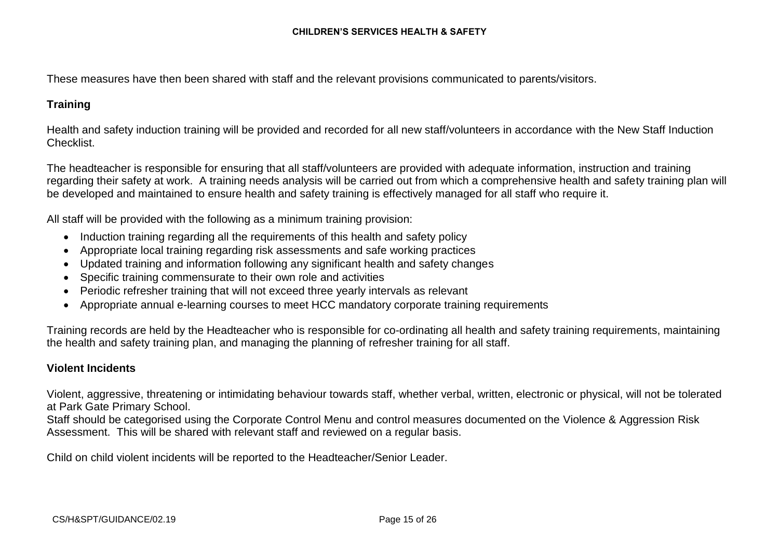These measures have then been shared with staff and the relevant provisions communicated to parents/visitors.

## **Training**

Health and safety induction training will be provided and recorded for all new staff/volunteers in accordance with the New Staff Induction Checklist.

The headteacher is responsible for ensuring that all staff/volunteers are provided with adequate information, instruction and training regarding their safety at work. A training needs analysis will be carried out from which a comprehensive health and safety training plan will be developed and maintained to ensure health and safety training is effectively managed for all staff who require it.

All staff will be provided with the following as a minimum training provision:

- Induction training regarding all the requirements of this health and safety policy
- Appropriate local training regarding risk assessments and safe working practices
- Updated training and information following any significant health and safety changes
- Specific training commensurate to their own role and activities
- Periodic refresher training that will not exceed three yearly intervals as relevant
- Appropriate annual e-learning courses to meet HCC mandatory corporate training requirements

Training records are held by the Headteacher who is responsible for co-ordinating all health and safety training requirements, maintaining the health and safety training plan, and managing the planning of refresher training for all staff.

## **Violent Incidents**

Violent, aggressive, threatening or intimidating behaviour towards staff, whether verbal, written, electronic or physical, will not be tolerated at Park Gate Primary School.

Staff should be categorised using the Corporate Control Menu and control measures documented on the Violence & Aggression Risk Assessment. This will be shared with relevant staff and reviewed on a regular basis.

Child on child violent incidents will be reported to the Headteacher/Senior Leader.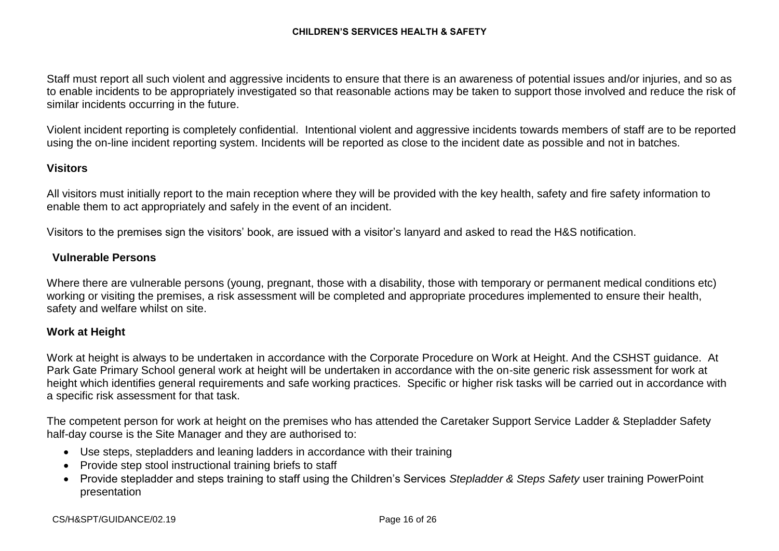Staff must report all such violent and aggressive incidents to ensure that there is an awareness of potential issues and/or injuries, and so as to enable incidents to be appropriately investigated so that reasonable actions may be taken to support those involved and reduce the risk of similar incidents occurring in the future.

Violent incident reporting is completely confidential. Intentional violent and aggressive incidents towards members of staff are to be reported using the on-line incident reporting system. Incidents will be reported as close to the incident date as possible and not in batches.

## **Visitors**

All visitors must initially report to the main reception where they will be provided with the key health, safety and fire safety information to enable them to act appropriately and safely in the event of an incident.

Visitors to the premises sign the visitors' book, are issued with a visitor's lanyard and asked to read the H&S notification.

## **Vulnerable Persons**

Where there are vulnerable persons (young, pregnant, those with a disability, those with temporary or permanent medical conditions etc) working or visiting the premises, a risk assessment will be completed and appropriate procedures implemented to ensure their health, safety and welfare whilst on site.

## **Work at Height**

Work at height is always to be undertaken in accordance with the Corporate Procedure on Work at Height. And the CSHST guidance. At Park Gate Primary School general work at height will be undertaken in accordance with the on-site generic risk assessment for work at height which identifies general requirements and safe working practices. Specific or higher risk tasks will be carried out in accordance with a specific risk assessment for that task.

The competent person for work at height on the premises who has attended the Caretaker Support Service Ladder & Stepladder Safety half-day course is the Site Manager and they are authorised to:

- Use steps, stepladders and leaning ladders in accordance with their training
- Provide step stool instructional training briefs to staff
- Provide stepladder and steps training to staff using the Children's Services *Stepladder & Steps Safety* user training PowerPoint presentation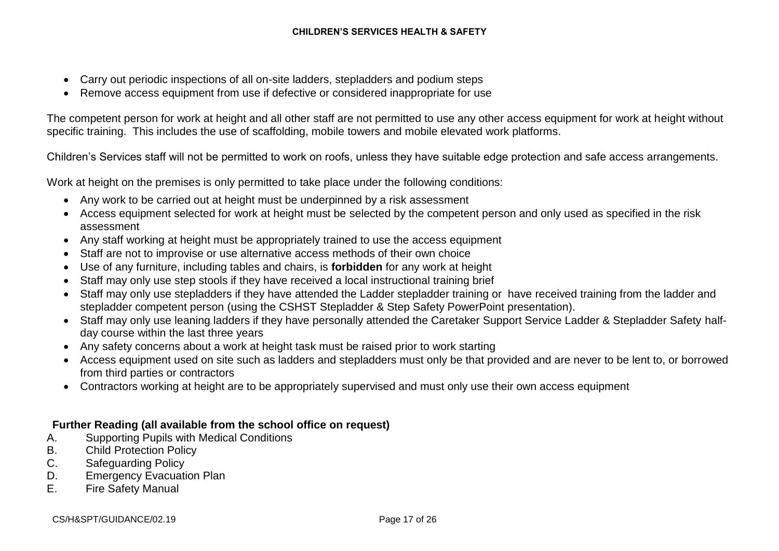- Carry out periodic inspections of all on-site ladders, stepladders and podium steps
- Remove access equipment from use if defective or considered inappropriate for use

The competent person for work at height and all other staff are not permitted to use any other access equipment for work at height without specific training. This includes the use of scaffolding, mobile towers and mobile elevated work platforms.

Children's Services staff will not be permitted to work on roofs, unless they have suitable edge protection and safe access arrangements.

Work at height on the premises is only permitted to take place under the following conditions:

- Any work to be carried out at height must be underpinned by a risk assessment
- Access equipment selected for work at height must be selected by the competent person and only used as specified in the risk assessment
- Any staff working at height must be appropriately trained to use the access equipment
- Staff are not to improvise or use alternative access methods of their own choice
- Use of any furniture, including tables and chairs, is **forbidden** for any work at height
- Staff may only use step stools if they have received a local instructional training brief
- Staff may only use stepladders if they have attended the Ladder stepladder training or have received training from the ladder and stepladder competent person (using the CSHST Stepladder & Step Safety PowerPoint presentation).
- Staff may only use leaning ladders if they have personally attended the Caretaker Support Service Ladder & Stepladder Safety halfday course within the last three years
- Any safety concerns about a work at height task must be raised prior to work starting
- Access equipment used on site such as ladders and stepladders must only be that provided and are never to be lent to, or borrowed from third parties or contractors
- Contractors working at height are to be appropriately supervised and must only use their own access equipment

# **Further Reading (all available from the school office on request)**

- A. Supporting Pupils with Medical Conditions
- B. Child Protection Policy
- C. Safeguarding Policy
- D. Emergency Evacuation Plan
- E. Fire Safety Manual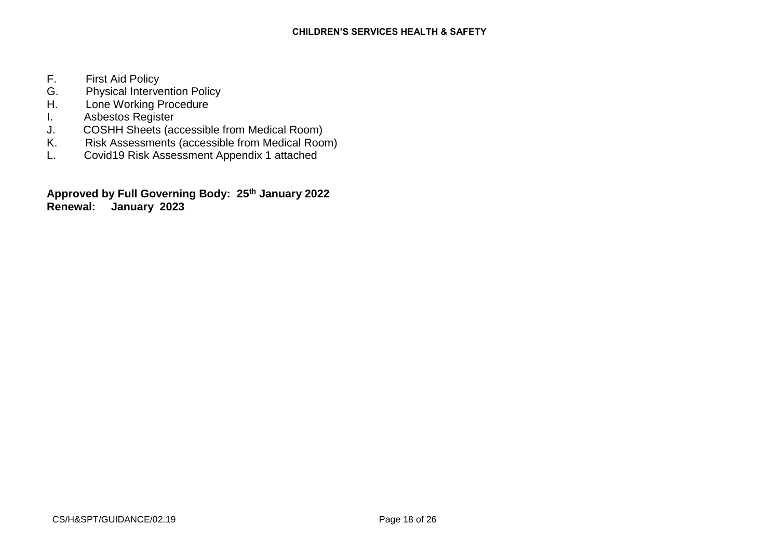- F. First Aid Policy
- G. Physical Intervention Policy<br>H. Lone Working Procedure
- Lone Working Procedure
- I. Asbestos Register<br>J. COSHH Sheets (ad
- J. COSHH Sheets (accessible from Medical Room)
- Risk Assessments (accessible from Medical Room)
- L. Covid19 Risk Assessment Appendix 1 attached

**Approved by Full Governing Body: 25 th January 2022 Renewal: January 2023**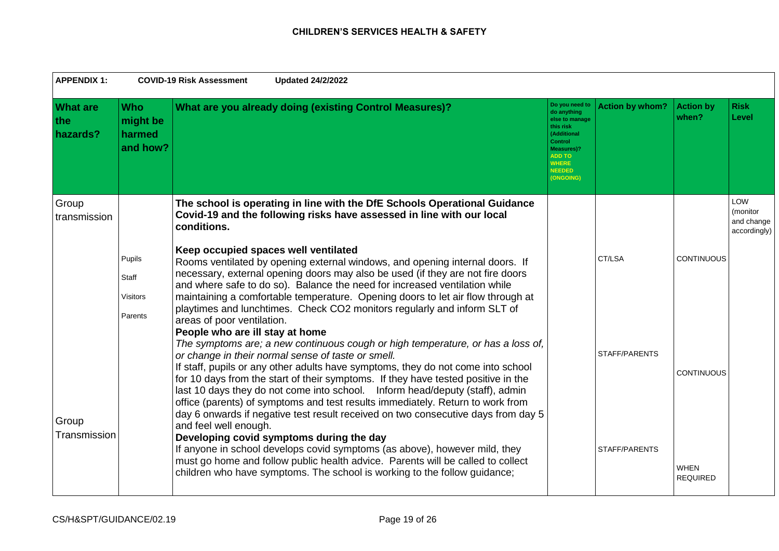| <b>APPENDIX 1:</b><br><b>COVID-19 Risk Assessment</b><br><b>Updated 24/2/2022</b> |                                               |                                                                                                                                                                                                                                                                                                                                                                                                                                                                                                                                                                                                           |                                                                                                                                                                           |                        |                                |                                               |  |
|-----------------------------------------------------------------------------------|-----------------------------------------------|-----------------------------------------------------------------------------------------------------------------------------------------------------------------------------------------------------------------------------------------------------------------------------------------------------------------------------------------------------------------------------------------------------------------------------------------------------------------------------------------------------------------------------------------------------------------------------------------------------------|---------------------------------------------------------------------------------------------------------------------------------------------------------------------------|------------------------|--------------------------------|-----------------------------------------------|--|
| <b>What are</b><br>the<br>hazards?                                                | <b>Who</b><br>might be<br>harmed<br>and how?  | What are you already doing (existing Control Measures)?                                                                                                                                                                                                                                                                                                                                                                                                                                                                                                                                                   | Do you need to<br>do anything<br>else to manage<br>this risk<br><b>Additional</b><br>Control<br>Measures)?<br><b>ADD TO</b><br><b>WHERE</b><br><b>NEEDED</b><br>(ONGOING) | <b>Action by whom?</b> | <b>Action by</b><br>when?      | <b>Risk</b><br>Level                          |  |
| Group<br>transmission                                                             |                                               | The school is operating in line with the DfE Schools Operational Guidance<br>Covid-19 and the following risks have assessed in line with our local<br>conditions.                                                                                                                                                                                                                                                                                                                                                                                                                                         |                                                                                                                                                                           |                        |                                | LOW<br>(monitor<br>and change<br>accordingly) |  |
|                                                                                   | Pupils<br>Staff<br><b>Visitors</b><br>Parents | Keep occupied spaces well ventilated<br>Rooms ventilated by opening external windows, and opening internal doors. If<br>necessary, external opening doors may also be used (if they are not fire doors<br>and where safe to do so). Balance the need for increased ventilation while<br>maintaining a comfortable temperature. Opening doors to let air flow through at<br>playtimes and lunchtimes. Check CO2 monitors regularly and inform SLT of<br>areas of poor ventilation.                                                                                                                         |                                                                                                                                                                           | CT/LSA                 | <b>CONTINUOUS</b>              |                                               |  |
|                                                                                   |                                               | People who are ill stay at home<br>The symptoms are; a new continuous cough or high temperature, or has a loss of,<br>or change in their normal sense of taste or smell.<br>If staff, pupils or any other adults have symptoms, they do not come into school<br>for 10 days from the start of their symptoms. If they have tested positive in the<br>last 10 days they do not come into school.  Inform head/deputy (staff), admin<br>office (parents) of symptoms and test results immediately. Return to work from<br>day 6 onwards if negative test result received on two consecutive days from day 5 |                                                                                                                                                                           | STAFF/PARENTS          | <b>CONTINUOUS</b>              |                                               |  |
| Group<br>Transmission                                                             |                                               | and feel well enough.<br>Developing covid symptoms during the day<br>If anyone in school develops covid symptoms (as above), however mild, they<br>must go home and follow public health advice. Parents will be called to collect<br>children who have symptoms. The school is working to the follow guidance;                                                                                                                                                                                                                                                                                           |                                                                                                                                                                           | STAFF/PARENTS          | <b>WHEN</b><br><b>REQUIRED</b> |                                               |  |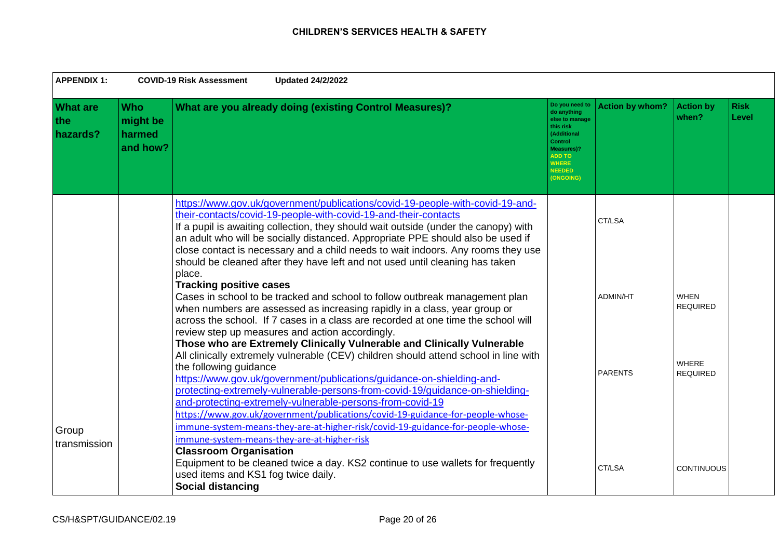| <b>APPENDIX 1:</b><br><b>COVID-19 Risk Assessment</b><br><b>Updated 24/2/2022</b> |                                              |                                                                                                                                                                                                                                                                                                                                                                                                                                                                                                          |                                                                                                                                                                            |                        |                                |                      |
|-----------------------------------------------------------------------------------|----------------------------------------------|----------------------------------------------------------------------------------------------------------------------------------------------------------------------------------------------------------------------------------------------------------------------------------------------------------------------------------------------------------------------------------------------------------------------------------------------------------------------------------------------------------|----------------------------------------------------------------------------------------------------------------------------------------------------------------------------|------------------------|--------------------------------|----------------------|
| <b>What are</b><br>the<br>hazards?                                                | <b>Who</b><br>might be<br>harmed<br>and how? | What are you already doing (existing Control Measures)?                                                                                                                                                                                                                                                                                                                                                                                                                                                  | Do you need to<br>do anything<br>else to manage<br>this risk<br>(Additional<br>Control<br><b>Measures)?</b><br><b>ADD TO</b><br><b>WHERE</b><br><b>NEEDED</b><br>(ONGOING) | <b>Action by whom?</b> | <b>Action by</b><br>when?      | <b>Risk</b><br>Level |
|                                                                                   |                                              | https://www.gov.uk/government/publications/covid-19-people-with-covid-19-and-<br>their-contacts/covid-19-people-with-covid-19-and-their-contacts<br>If a pupil is awaiting collection, they should wait outside (under the canopy) with<br>an adult who will be socially distanced. Appropriate PPE should also be used if<br>close contact is necessary and a child needs to wait indoors. Any rooms they use<br>should be cleaned after they have left and not used until cleaning has taken<br>place. |                                                                                                                                                                            | CT/LSA                 |                                |                      |
|                                                                                   |                                              | <b>Tracking positive cases</b><br>Cases in school to be tracked and school to follow outbreak management plan<br>when numbers are assessed as increasing rapidly in a class, year group or<br>across the school. If 7 cases in a class are recorded at one time the school will<br>review step up measures and action accordingly.<br>Those who are Extremely Clinically Vulnerable and Clinically Vulnerable<br>All clinically extremely vulnerable (CEV) children should attend school in line with    |                                                                                                                                                                            | <b>ADMIN/HT</b>        | <b>WHEN</b><br><b>REQUIRED</b> |                      |
| Group                                                                             |                                              | the following guidance<br>https://www.gov.uk/government/publications/quidance-on-shielding-and-<br>protecting-extremely-vulnerable-persons-from-covid-19/guidance-on-shielding-<br>and-protecting-extremely-vulnerable-persons-from-covid-19<br>https://www.gov.uk/government/publications/covid-19-guidance-for-people-whose-<br>immune-system-means-they-are-at-higher-risk/covid-19-guidance-for-people-whose-<br>immune-system-means-they-are-at-higher-risk                                         |                                                                                                                                                                            | <b>PARENTS</b>         | WHERE<br><b>REQUIRED</b>       |                      |
| transmission                                                                      |                                              | <b>Classroom Organisation</b><br>Equipment to be cleaned twice a day. KS2 continue to use wallets for frequently<br>used items and KS1 fog twice daily.<br>Social distancing                                                                                                                                                                                                                                                                                                                             |                                                                                                                                                                            | CT/LSA                 | <b>CONTINUOUS</b>              |                      |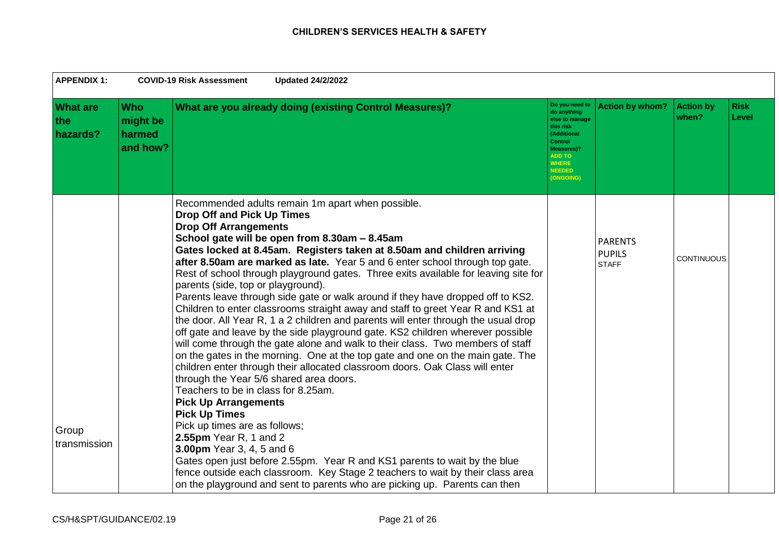| <b>APPENDIX 1:</b>                 |                                              | <b>COVID-19 Risk Assessment</b><br><b>Updated 24/2/2022</b>                                                                                                                                                                                                                                                                                                                                                                                                                                                                                                                                                                                                                                                                                                                                                                                                                                                                                                                                                                                                                                                                                                                                                                                                                                                                                                                                                                                                                                                                                     |                                                                                                                                                                                   |                                                 |                           |                      |
|------------------------------------|----------------------------------------------|-------------------------------------------------------------------------------------------------------------------------------------------------------------------------------------------------------------------------------------------------------------------------------------------------------------------------------------------------------------------------------------------------------------------------------------------------------------------------------------------------------------------------------------------------------------------------------------------------------------------------------------------------------------------------------------------------------------------------------------------------------------------------------------------------------------------------------------------------------------------------------------------------------------------------------------------------------------------------------------------------------------------------------------------------------------------------------------------------------------------------------------------------------------------------------------------------------------------------------------------------------------------------------------------------------------------------------------------------------------------------------------------------------------------------------------------------------------------------------------------------------------------------------------------------|-----------------------------------------------------------------------------------------------------------------------------------------------------------------------------------|-------------------------------------------------|---------------------------|----------------------|
| <b>What are</b><br>the<br>hazards? | <b>Who</b><br>might be<br>harmed<br>and how? | What are you already doing (existing Control Measures)?                                                                                                                                                                                                                                                                                                                                                                                                                                                                                                                                                                                                                                                                                                                                                                                                                                                                                                                                                                                                                                                                                                                                                                                                                                                                                                                                                                                                                                                                                         | Do you need to<br>do anything<br>else to manage<br>this risk<br>(Additional<br><b>Control</b><br><b>Measures)?</b><br><b>ADD TO</b><br><b>WHERE</b><br><b>NEEDED</b><br>(ONGOING) | <b>Action by whom?</b>                          | <b>Action by</b><br>when? | <b>Risk</b><br>Level |
| Group<br>transmission              |                                              | Recommended adults remain 1m apart when possible.<br><b>Drop Off and Pick Up Times</b><br><b>Drop Off Arrangements</b><br>School gate will be open from 8.30am - 8.45am<br>Gates locked at 8.45am. Registers taken at 8.50am and children arriving<br>after 8.50am are marked as late. Year 5 and 6 enter school through top gate.<br>Rest of school through playground gates. Three exits available for leaving site for<br>parents (side, top or playground).<br>Parents leave through side gate or walk around if they have dropped off to KS2.<br>Children to enter classrooms straight away and staff to greet Year R and KS1 at<br>the door. All Year R, 1 a 2 children and parents will enter through the usual drop<br>off gate and leave by the side playground gate. KS2 children wherever possible<br>will come through the gate alone and walk to their class. Two members of staff<br>on the gates in the morning. One at the top gate and one on the main gate. The<br>children enter through their allocated classroom doors. Oak Class will enter<br>through the Year 5/6 shared area doors.<br>Teachers to be in class for 8.25am.<br><b>Pick Up Arrangements</b><br><b>Pick Up Times</b><br>Pick up times are as follows;<br>2.55pm Year R, 1 and 2<br>3.00pm Year 3, 4, 5 and 6<br>Gates open just before 2.55pm. Year R and KS1 parents to wait by the blue<br>fence outside each classroom. Key Stage 2 teachers to wait by their class area<br>on the playground and sent to parents who are picking up. Parents can then |                                                                                                                                                                                   | <b>PARENTS</b><br><b>PUPILS</b><br><b>STAFF</b> | <b>CONTINUOUS</b>         |                      |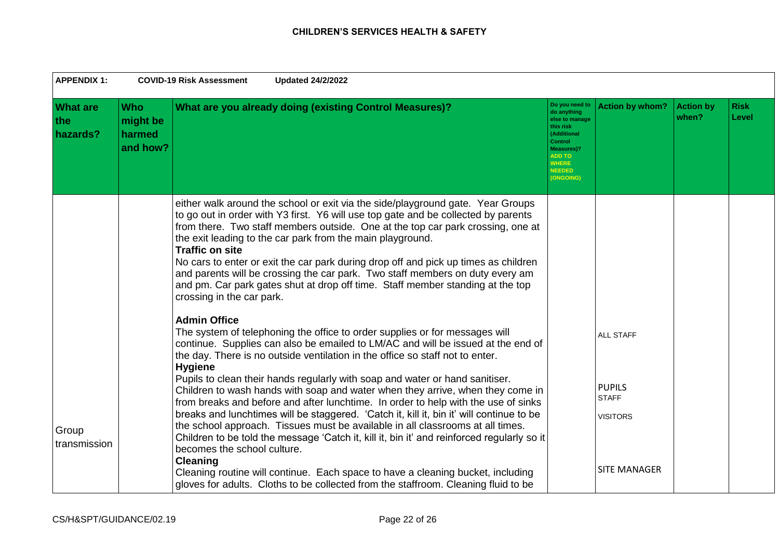| <b>APPENDIX 1:</b><br><b>COVID-19 Risk Assessment</b><br><b>Updated 24/2/2022</b> |                                              |                                                                                                                                                                                                                                                                                                                                                                                                                                                                                                                                                                                                                                                                                                                                                                                                                                                                                                                                                                                                                                                   |                                                                                                                                                                                   |                                                                                             |                           |                      |
|-----------------------------------------------------------------------------------|----------------------------------------------|---------------------------------------------------------------------------------------------------------------------------------------------------------------------------------------------------------------------------------------------------------------------------------------------------------------------------------------------------------------------------------------------------------------------------------------------------------------------------------------------------------------------------------------------------------------------------------------------------------------------------------------------------------------------------------------------------------------------------------------------------------------------------------------------------------------------------------------------------------------------------------------------------------------------------------------------------------------------------------------------------------------------------------------------------|-----------------------------------------------------------------------------------------------------------------------------------------------------------------------------------|---------------------------------------------------------------------------------------------|---------------------------|----------------------|
| <b>What are</b><br>the<br>hazards?                                                | <b>Who</b><br>might be<br>harmed<br>and how? | What are you already doing (existing Control Measures)?                                                                                                                                                                                                                                                                                                                                                                                                                                                                                                                                                                                                                                                                                                                                                                                                                                                                                                                                                                                           | Do you need to<br>do anything<br>else to manage<br>this risk<br>(Additional<br><b>Control</b><br><b>Measures)?</b><br><b>ADD TO</b><br><b>WHERE</b><br><b>NEEDED</b><br>(ONGOING) | <b>Action by whom?</b>                                                                      | <b>Action by</b><br>when? | <b>Risk</b><br>Level |
|                                                                                   |                                              | either walk around the school or exit via the side/playground gate. Year Groups<br>to go out in order with Y3 first. Y6 will use top gate and be collected by parents<br>from there. Two staff members outside. One at the top car park crossing, one at<br>the exit leading to the car park from the main playground.<br><b>Traffic on site</b><br>No cars to enter or exit the car park during drop off and pick up times as children<br>and parents will be crossing the car park. Two staff members on duty every am<br>and pm. Car park gates shut at drop off time. Staff member standing at the top<br>crossing in the car park.                                                                                                                                                                                                                                                                                                                                                                                                           |                                                                                                                                                                                   |                                                                                             |                           |                      |
| Group<br>transmission                                                             |                                              | <b>Admin Office</b><br>The system of telephoning the office to order supplies or for messages will<br>continue. Supplies can also be emailed to LM/AC and will be issued at the end of<br>the day. There is no outside ventilation in the office so staff not to enter.<br><b>Hygiene</b><br>Pupils to clean their hands regularly with soap and water or hand sanitiser.<br>Children to wash hands with soap and water when they arrive, when they come in<br>from breaks and before and after lunchtime. In order to help with the use of sinks<br>breaks and lunchtimes will be staggered. 'Catch it, kill it, bin it' will continue to be<br>the school approach. Tissues must be available in all classrooms at all times.<br>Children to be told the message 'Catch it, kill it, bin it' and reinforced regularly so it<br>becomes the school culture.<br>Cleaning<br>Cleaning routine will continue. Each space to have a cleaning bucket, including<br>gloves for adults. Cloths to be collected from the staffroom. Cleaning fluid to be |                                                                                                                                                                                   | <b>ALL STAFF</b><br><b>PUPILS</b><br><b>STAFF</b><br><b>VISITORS</b><br><b>SITE MANAGER</b> |                           |                      |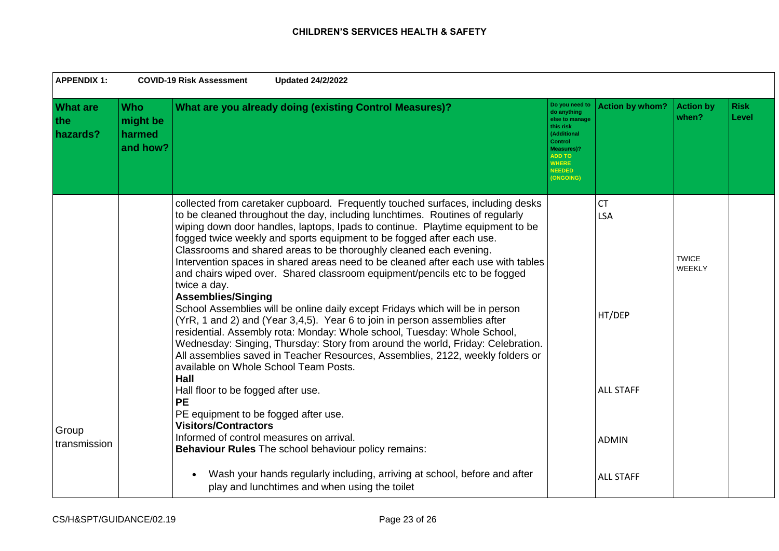| <b>APPENDIX 1:</b><br><b>COVID-19 Risk Assessment</b><br><b>Updated 24/2/2022</b> |                                              |                                                                                                                                                                                                                                                                                                                                                                                                                                                                                                                                                                                                                                                                                                                                                                                                                                                                                                                                                                                                                                                                                    |                                                                                                                                                                     |                                   |                           |                      |
|-----------------------------------------------------------------------------------|----------------------------------------------|------------------------------------------------------------------------------------------------------------------------------------------------------------------------------------------------------------------------------------------------------------------------------------------------------------------------------------------------------------------------------------------------------------------------------------------------------------------------------------------------------------------------------------------------------------------------------------------------------------------------------------------------------------------------------------------------------------------------------------------------------------------------------------------------------------------------------------------------------------------------------------------------------------------------------------------------------------------------------------------------------------------------------------------------------------------------------------|---------------------------------------------------------------------------------------------------------------------------------------------------------------------|-----------------------------------|---------------------------|----------------------|
| <b>What are</b><br>the<br>hazards?                                                | <b>Who</b><br>might be<br>harmed<br>and how? | What are you already doing (existing Control Measures)?                                                                                                                                                                                                                                                                                                                                                                                                                                                                                                                                                                                                                                                                                                                                                                                                                                                                                                                                                                                                                            | Do you need to<br>do anything<br>else to manage<br>this risk<br>(Additional<br>Control<br><b>Measures)?</b><br><b>ADD TO</b><br>WHERE<br><b>NEEDED</b><br>(ONGOING) | <b>Action by whom?</b>            | <b>Action by</b><br>when? | <b>Risk</b><br>Level |
|                                                                                   |                                              | collected from caretaker cupboard. Frequently touched surfaces, including desks<br>to be cleaned throughout the day, including lunchtimes. Routines of regularly<br>wiping down door handles, laptops, Ipads to continue. Playtime equipment to be<br>fogged twice weekly and sports equipment to be fogged after each use.<br>Classrooms and shared areas to be thoroughly cleaned each evening.<br>Intervention spaces in shared areas need to be cleaned after each use with tables<br>and chairs wiped over. Shared classroom equipment/pencils etc to be fogged<br>twice a day.<br><b>Assemblies/Singing</b><br>School Assemblies will be online daily except Fridays which will be in person<br>(YrR, 1 and 2) and (Year 3,4,5). Year 6 to join in person assemblies after<br>residential. Assembly rota: Monday: Whole school, Tuesday: Whole School,<br>Wednesday: Singing, Thursday: Story from around the world, Friday: Celebration.<br>All assemblies saved in Teacher Resources, Assemblies, 2122, weekly folders or<br>available on Whole School Team Posts.<br>Hall |                                                                                                                                                                     | <b>CT</b><br><b>LSA</b><br>HT/DEP | <b>TWICE</b><br>WEEKLY    |                      |
| Group<br>transmission                                                             |                                              | Hall floor to be fogged after use.<br><b>PE</b><br>PE equipment to be fogged after use.<br><b>Visitors/Contractors</b><br>Informed of control measures on arrival.<br>Behaviour Rules The school behaviour policy remains:                                                                                                                                                                                                                                                                                                                                                                                                                                                                                                                                                                                                                                                                                                                                                                                                                                                         |                                                                                                                                                                     | <b>ALL STAFF</b><br><b>ADMIN</b>  |                           |                      |
|                                                                                   |                                              | Wash your hands regularly including, arriving at school, before and after<br>play and lunchtimes and when using the toilet                                                                                                                                                                                                                                                                                                                                                                                                                                                                                                                                                                                                                                                                                                                                                                                                                                                                                                                                                         |                                                                                                                                                                     | <b>ALL STAFF</b>                  |                           |                      |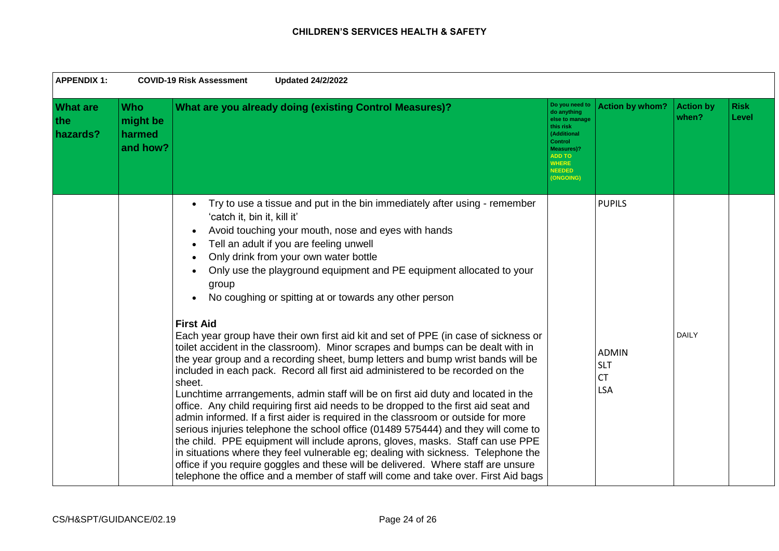| <b>APPENDIX 1:</b>                 | <b>COVID-19 Risk Assessment</b><br><b>Updated 24/2/2022</b> |                                                                                                                                                                                                                                                                                                                                                                                                                                                                                                                                                                                                                                                                                                                                                                                                                                                                                                                                                                                                                                                                                                                                                                                                                                                                                                                                                                                                                                                                                     |                                                                                                                                                                     |                                                                        |                           |                      |  |
|------------------------------------|-------------------------------------------------------------|-------------------------------------------------------------------------------------------------------------------------------------------------------------------------------------------------------------------------------------------------------------------------------------------------------------------------------------------------------------------------------------------------------------------------------------------------------------------------------------------------------------------------------------------------------------------------------------------------------------------------------------------------------------------------------------------------------------------------------------------------------------------------------------------------------------------------------------------------------------------------------------------------------------------------------------------------------------------------------------------------------------------------------------------------------------------------------------------------------------------------------------------------------------------------------------------------------------------------------------------------------------------------------------------------------------------------------------------------------------------------------------------------------------------------------------------------------------------------------------|---------------------------------------------------------------------------------------------------------------------------------------------------------------------|------------------------------------------------------------------------|---------------------------|----------------------|--|
| <b>What are</b><br>the<br>hazards? | <b>Who</b><br>might be<br>harmed<br>and how?                | What are you already doing (existing Control Measures)?                                                                                                                                                                                                                                                                                                                                                                                                                                                                                                                                                                                                                                                                                                                                                                                                                                                                                                                                                                                                                                                                                                                                                                                                                                                                                                                                                                                                                             | Do you need to<br>do anything<br>else to manage<br>this risk<br>(Additional<br>Control<br><b>Measures)?</b><br><b>ADD TO</b><br>WHERE<br><b>NEEDED</b><br>(ONGOING) | <b>Action by whom?</b>                                                 | <b>Action by</b><br>when? | <b>Risk</b><br>Level |  |
|                                    |                                                             | Try to use a tissue and put in the bin immediately after using - remember<br>'catch it, bin it, kill it'<br>Avoid touching your mouth, nose and eyes with hands<br>Tell an adult if you are feeling unwell<br>Only drink from your own water bottle<br>Only use the playground equipment and PE equipment allocated to your<br>group<br>No coughing or spitting at or towards any other person<br><b>First Aid</b><br>Each year group have their own first aid kit and set of PPE (in case of sickness or<br>toilet accident in the classroom). Minor scrapes and bumps can be dealt with in<br>the year group and a recording sheet, bump letters and bump wrist bands will be<br>included in each pack. Record all first aid administered to be recorded on the<br>sheet.<br>Lunchtime arrrangements, admin staff will be on first aid duty and located in the<br>office. Any child requiring first aid needs to be dropped to the first aid seat and<br>admin informed. If a first aider is required in the classroom or outside for more<br>serious injuries telephone the school office (01489 575444) and they will come to<br>the child. PPE equipment will include aprons, gloves, masks. Staff can use PPE<br>in situations where they feel vulnerable eg; dealing with sickness. Telephone the<br>office if you require goggles and these will be delivered. Where staff are unsure<br>telephone the office and a member of staff will come and take over. First Aid bags |                                                                                                                                                                     | <b>PUPILS</b><br><b>ADMIN</b><br><b>SLT</b><br><b>CT</b><br><b>LSA</b> | <b>DAILY</b>              |                      |  |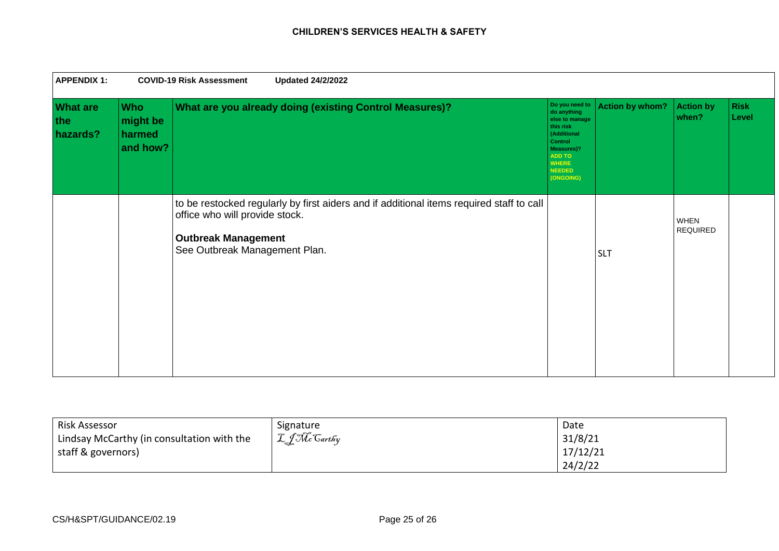| <b>APPENDIX 1:</b>                 | <b>COVID-19 Risk Assessment</b><br><b>Updated 24/2/2022</b> |                                                                                                                                                                                           |                                                                                                                                                                     |                        |                                |                      |  |  |
|------------------------------------|-------------------------------------------------------------|-------------------------------------------------------------------------------------------------------------------------------------------------------------------------------------------|---------------------------------------------------------------------------------------------------------------------------------------------------------------------|------------------------|--------------------------------|----------------------|--|--|
| <b>What are</b><br>the<br>hazards? | <b>Who</b><br>might be<br>harmed<br>and how?                | What are you already doing (existing Control Measures)?                                                                                                                                   | Do you need to<br>do anything<br>else to manage<br>this risk<br>(Additional<br>Control<br>Measures)?<br><b>ADD TO</b><br><b>WHERE</b><br><b>NEEDED</b><br>(ONGOING) | <b>Action by whom?</b> | <b>Action by</b><br>when?      | <b>Risk</b><br>Level |  |  |
|                                    |                                                             | to be restocked regularly by first aiders and if additional items required staff to call<br>office who will provide stock.<br><b>Outbreak Management</b><br>See Outbreak Management Plan. |                                                                                                                                                                     | <b>SLT</b>             | <b>WHEN</b><br><b>REQUIRED</b> |                      |  |  |

| Risk Assessor                              | Signature     | Date     |
|--------------------------------------------|---------------|----------|
| Lindsay McCarthy (in consultation with the | L J Mc Carthy | 31/8/21  |
| staff & governors)                         |               | 17/12/21 |
|                                            |               | 24/2/22  |